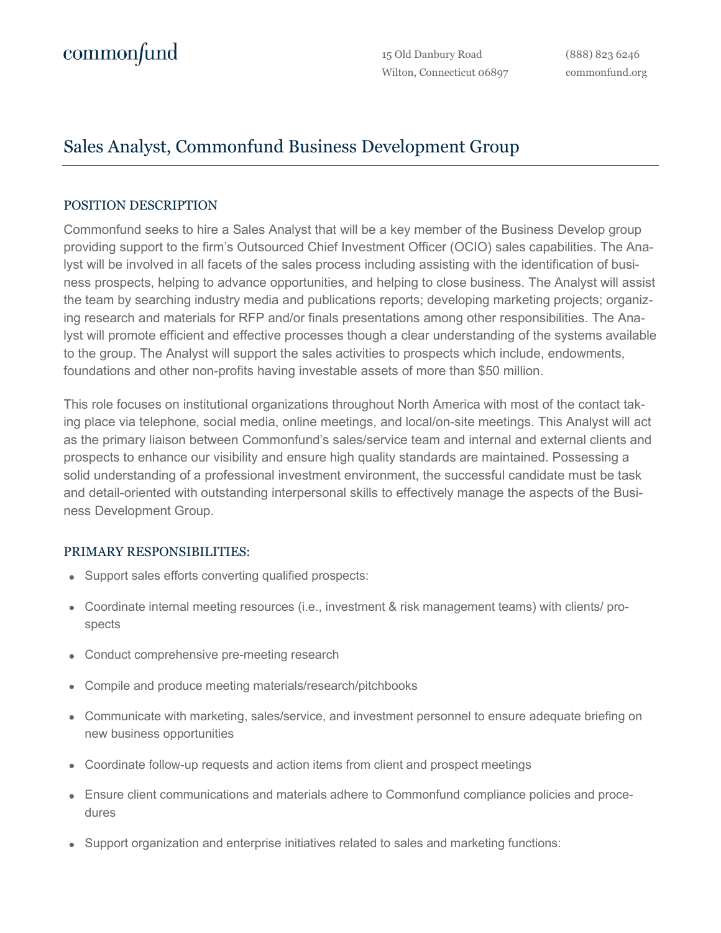15 Old Danbury Road Wilton, Connecticut 06897

(888) 823 6246 commonfund.org

## Sales Analyst, Commonfund Business Development Group

## POSITION DESCRIPTION

Commonfund seeks to hire a Sales Analyst that will be a key member of the Business Develop group providing support to the firm's Outsourced Chief Investment Officer (OCIO) sales capabilities. The Analyst will be involved in all facets of the sales process including assisting with the identification of business prospects, helping to advance opportunities, and helping to close business. The Analyst will assist the team by searching industry media and publications reports; developing marketing projects; organizing research and materials for RFP and/or finals presentations among other responsibilities. The Analyst will promote efficient and effective processes though a clear understanding of the systems available to the group. The Analyst will support the sales activities to prospects which include, endowments, foundations and other non-profits having investable assets of more than \$50 million.

This role focuses on institutional organizations throughout North America with most of the contact taking place via telephone, social media, online meetings, and local/on-site meetings. This Analyst will act as the primary liaison between Commonfund's sales/service team and internal and external clients and prospects to enhance our visibility and ensure high quality standards are maintained. Possessing a solid understanding of a professional investment environment, the successful candidate must be task and detail-oriented with outstanding interpersonal skills to effectively manage the aspects of the Business Development Group.

## PRIMARY RESPONSIBILITIES:

- Support sales efforts converting qualified prospects:
- Coordinate internal meeting resources (i.e., investment & risk management teams) with clients/ prospects
- Conduct comprehensive pre-meeting research
- Compile and produce meeting materials/research/pitchbooks
- Communicate with marketing, sales/service, and investment personnel to ensure adequate briefing on new business opportunities
- Coordinate follow-up requests and action items from client and prospect meetings
- Ensure client communications and materials adhere to Commonfund compliance policies and procedures
- Support organization and enterprise initiatives related to sales and marketing functions: